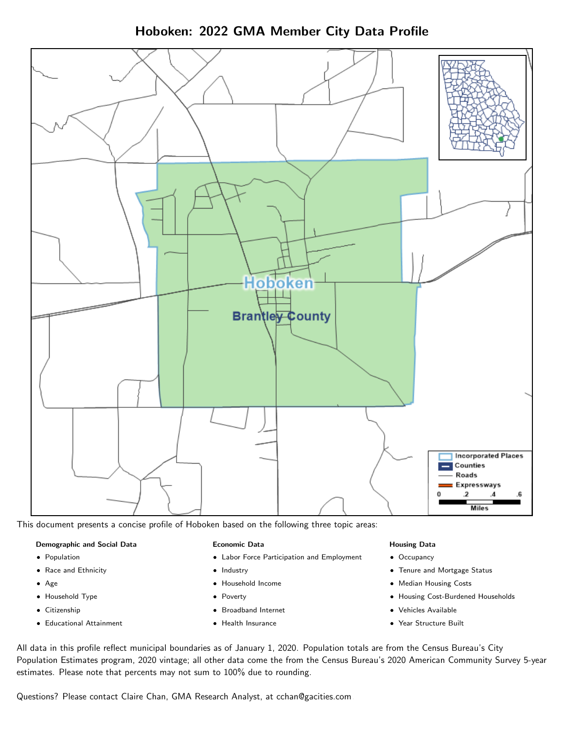Hoboken: 2022 GMA Member City Data Profile



This document presents a concise profile of Hoboken based on the following three topic areas:

#### Demographic and Social Data

- **•** Population
- Race and Ethnicity
- Age
- Household Type
- **Citizenship**
- Educational Attainment

#### Economic Data

- Labor Force Participation and Employment
- Industry
- Household Income
- Poverty
- Broadband Internet
- Health Insurance

#### Housing Data

- Occupancy
- Tenure and Mortgage Status
- Median Housing Costs
- Housing Cost-Burdened Households
- Vehicles Available
- Year Structure Built

All data in this profile reflect municipal boundaries as of January 1, 2020. Population totals are from the Census Bureau's City Population Estimates program, 2020 vintage; all other data come the from the Census Bureau's 2020 American Community Survey 5-year estimates. Please note that percents may not sum to 100% due to rounding.

Questions? Please contact Claire Chan, GMA Research Analyst, at [cchan@gacities.com.](mailto:cchan@gacities.com)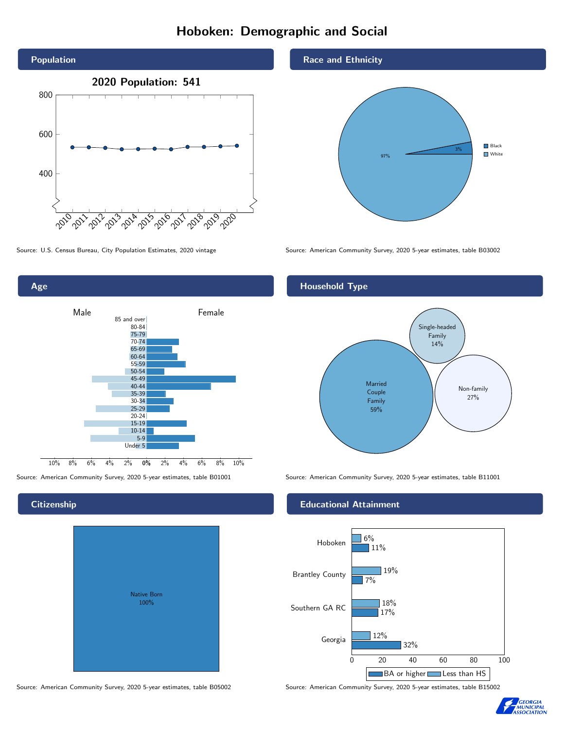# Hoboken: Demographic and Social



Age 0% 2% 4% 6% 8% 10% Male **Female** 10% 8% 6% 4% 2% 85 and over 80-84 75-79 70-74 65-69 60-64 55-59 50-54 45-49 40-44 35-39 30-34 25-29 20-24 15-19  $10-14$ 5-9 Under 5

#### **Citizenship**

|  | <b>Native Born</b><br>100% |  |  |
|--|----------------------------|--|--|
|  |                            |  |  |

Source: American Community Survey, 2020 5-year estimates, table B05002 Source: American Community Survey, 2020 5-year estimates, table B15002

#### Race and Ethnicity



Source: U.S. Census Bureau, City Population Estimates, 2020 vintage Source: American Community Survey, 2020 5-year estimates, table B03002

#### Household Type



Source: American Community Survey, 2020 5-year estimates, table B01001 Source: American Community Survey, 2020 5-year estimates, table B11001

#### Educational Attainment



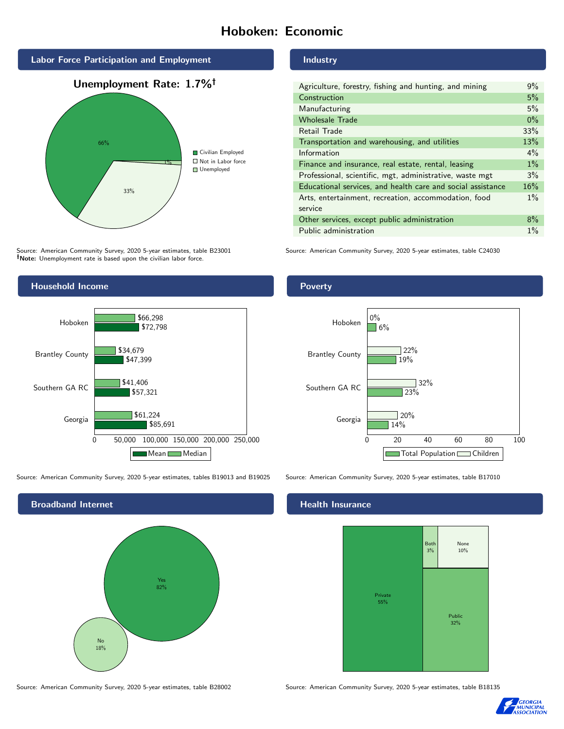# Hoboken: Economic



Source: American Community Survey, 2020 5-year estimates, table B23001 Note: Unemployment rate is based upon the civilian labor force.

#### Industry

| Agriculture, forestry, fishing and hunting, and mining      |       |  |  |
|-------------------------------------------------------------|-------|--|--|
| Construction                                                |       |  |  |
| Manufacturing                                               |       |  |  |
| <b>Wholesale Trade</b>                                      | $0\%$ |  |  |
| Retail Trade                                                | 33%   |  |  |
| Transportation and warehousing, and utilities               |       |  |  |
| Information                                                 | $4\%$ |  |  |
| Finance and insurance, real estate, rental, leasing         |       |  |  |
| Professional, scientific, mgt, administrative, waste mgt    |       |  |  |
| Educational services, and health care and social assistance |       |  |  |
| Arts, entertainment, recreation, accommodation, food        |       |  |  |
| service                                                     |       |  |  |
| Other services, except public administration                |       |  |  |
| Public administration                                       |       |  |  |

Source: American Community Survey, 2020 5-year estimates, table C24030



Source: American Community Survey, 2020 5-year estimates, tables B19013 and B19025 Source: American Community Survey, 2020 5-year estimates, table B17010



Source: American Community Survey, 2020 5-year estimates, table B28002 Source: American Community Survey, 2020 5-year estimates, table B18135

#### Poverty



### **Health Insurance**